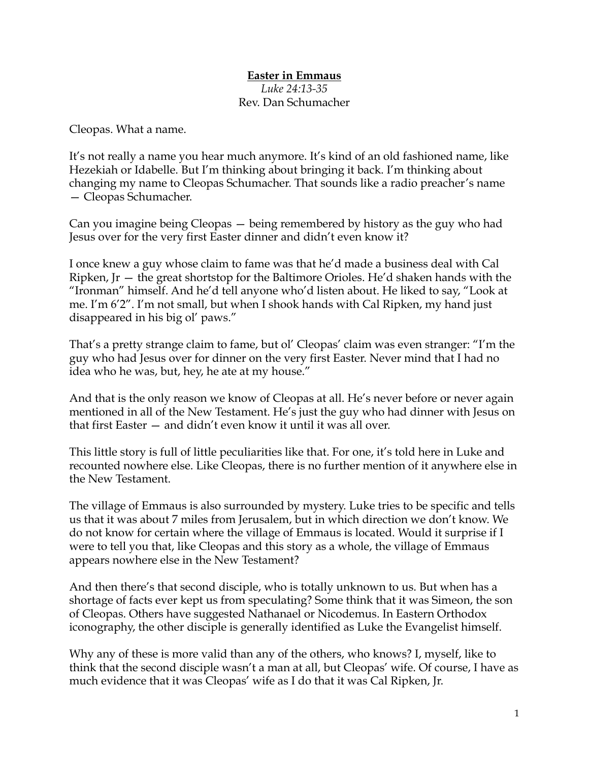## **Easter in Emmaus** *Luke 24:13-35* Rev. Dan Schumacher

Cleopas. What a name.

It's not really a name you hear much anymore. It's kind of an old fashioned name, like Hezekiah or Idabelle. But I'm thinking about bringing it back. I'm thinking about changing my name to Cleopas Schumacher. That sounds like a radio preacher's name — Cleopas Schumacher.

Can you imagine being Cleopas — being remembered by history as the guy who had Jesus over for the very first Easter dinner and didn't even know it?

I once knew a guy whose claim to fame was that he'd made a business deal with Cal Ripken, Jr — the great shortstop for the Baltimore Orioles. He'd shaken hands with the "Ironman" himself. And he'd tell anyone who'd listen about. He liked to say, "Look at me. I'm 6'2". I'm not small, but when I shook hands with Cal Ripken, my hand just disappeared in his big ol' paws."

That's a pretty strange claim to fame, but ol' Cleopas' claim was even stranger: "I'm the guy who had Jesus over for dinner on the very first Easter. Never mind that I had no idea who he was, but, hey, he ate at my house."

And that is the only reason we know of Cleopas at all. He's never before or never again mentioned in all of the New Testament. He's just the guy who had dinner with Jesus on that first Easter — and didn't even know it until it was all over.

This little story is full of little peculiarities like that. For one, it's told here in Luke and recounted nowhere else. Like Cleopas, there is no further mention of it anywhere else in the New Testament.

The village of Emmaus is also surrounded by mystery. Luke tries to be specific and tells us that it was about 7 miles from Jerusalem, but in which direction we don't know. We do not know for certain where the village of Emmaus is located. Would it surprise if I were to tell you that, like Cleopas and this story as a whole, the village of Emmaus appears nowhere else in the New Testament?

And then there's that second disciple, who is totally unknown to us. But when has a shortage of facts ever kept us from speculating? Some think that it was Simeon, the son of Cleopas. Others have suggested Nathanael or Nicodemus. In Eastern Orthodox iconography, the other disciple is generally identified as Luke the Evangelist himself.

Why any of these is more valid than any of the others, who knows? I, myself, like to think that the second disciple wasn't a man at all, but Cleopas' wife. Of course, I have as much evidence that it was Cleopas' wife as I do that it was Cal Ripken, Jr.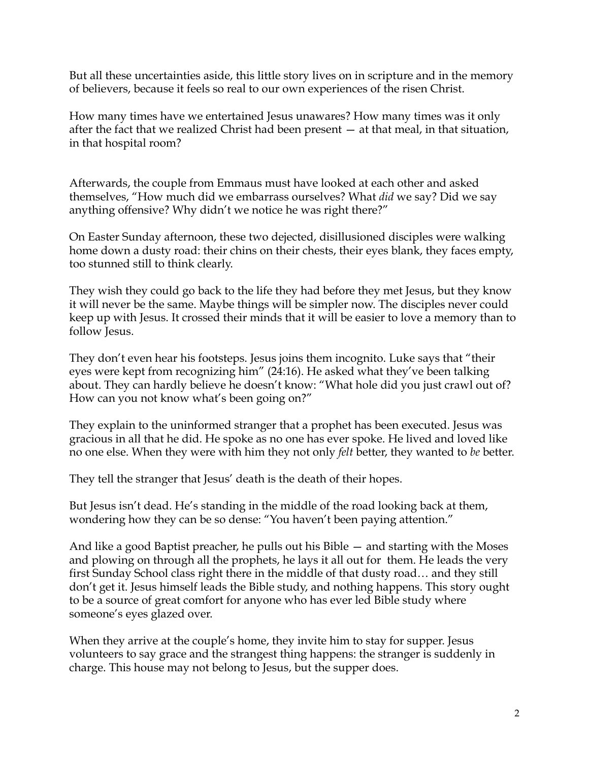But all these uncertainties aside, this little story lives on in scripture and in the memory of believers, because it feels so real to our own experiences of the risen Christ.

How many times have we entertained Jesus unawares? How many times was it only after the fact that we realized Christ had been present — at that meal, in that situation, in that hospital room?

Afterwards, the couple from Emmaus must have looked at each other and asked themselves, "How much did we embarrass ourselves? What *did* we say? Did we say anything offensive? Why didn't we notice he was right there?"

On Easter Sunday afternoon, these two dejected, disillusioned disciples were walking home down a dusty road: their chins on their chests, their eyes blank, they faces empty, too stunned still to think clearly.

They wish they could go back to the life they had before they met Jesus, but they know it will never be the same. Maybe things will be simpler now. The disciples never could keep up with Jesus. It crossed their minds that it will be easier to love a memory than to follow Jesus.

They don't even hear his footsteps. Jesus joins them incognito. Luke says that "their eyes were kept from recognizing him" (24:16). He asked what they've been talking about. They can hardly believe he doesn't know: "What hole did you just crawl out of? How can you not know what's been going on?"

They explain to the uninformed stranger that a prophet has been executed. Jesus was gracious in all that he did. He spoke as no one has ever spoke. He lived and loved like no one else. When they were with him they not only *felt* better, they wanted to *be* better.

They tell the stranger that Jesus' death is the death of their hopes.

But Jesus isn't dead. He's standing in the middle of the road looking back at them, wondering how they can be so dense: "You haven't been paying attention."

And like a good Baptist preacher, he pulls out his Bible — and starting with the Moses and plowing on through all the prophets, he lays it all out for them. He leads the very first Sunday School class right there in the middle of that dusty road… and they still don't get it. Jesus himself leads the Bible study, and nothing happens. This story ought to be a source of great comfort for anyone who has ever led Bible study where someone's eyes glazed over.

When they arrive at the couple's home, they invite him to stay for supper. Jesus volunteers to say grace and the strangest thing happens: the stranger is suddenly in charge. This house may not belong to Jesus, but the supper does.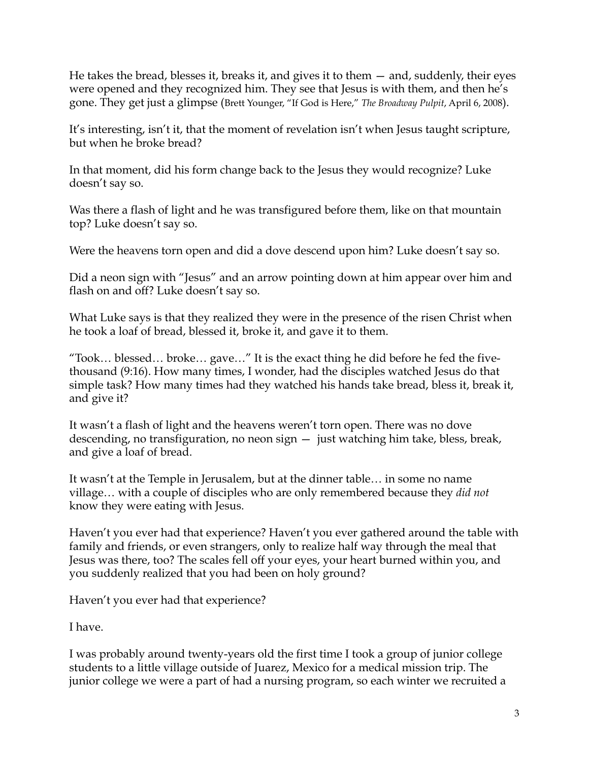He takes the bread, blesses it, breaks it, and gives it to them — and, suddenly, their eyes were opened and they recognized him. They see that Jesus is with them, and then he's gone. They get just a glimpse (Brett Younger, "If God is Here," *The Broadway Pulpit*, April 6, 2008).

It's interesting, isn't it, that the moment of revelation isn't when Jesus taught scripture, but when he broke bread?

In that moment, did his form change back to the Jesus they would recognize? Luke doesn't say so.

Was there a flash of light and he was transfigured before them, like on that mountain top? Luke doesn't say so.

Were the heavens torn open and did a dove descend upon him? Luke doesn't say so.

Did a neon sign with "Jesus" and an arrow pointing down at him appear over him and flash on and off? Luke doesn't say so.

What Luke says is that they realized they were in the presence of the risen Christ when he took a loaf of bread, blessed it, broke it, and gave it to them.

"Took… blessed… broke… gave…" It is the exact thing he did before he fed the fivethousand (9:16). How many times, I wonder, had the disciples watched Jesus do that simple task? How many times had they watched his hands take bread, bless it, break it, and give it?

It wasn't a flash of light and the heavens weren't torn open. There was no dove descending, no transfiguration, no neon sign — just watching him take, bless, break, and give a loaf of bread.

It wasn't at the Temple in Jerusalem, but at the dinner table… in some no name village… with a couple of disciples who are only remembered because they *did not* know they were eating with Jesus.

Haven't you ever had that experience? Haven't you ever gathered around the table with family and friends, or even strangers, only to realize half way through the meal that Jesus was there, too? The scales fell off your eyes, your heart burned within you, and you suddenly realized that you had been on holy ground?

Haven't you ever had that experience?

I have.

I was probably around twenty-years old the first time I took a group of junior college students to a little village outside of Juarez, Mexico for a medical mission trip. The junior college we were a part of had a nursing program, so each winter we recruited a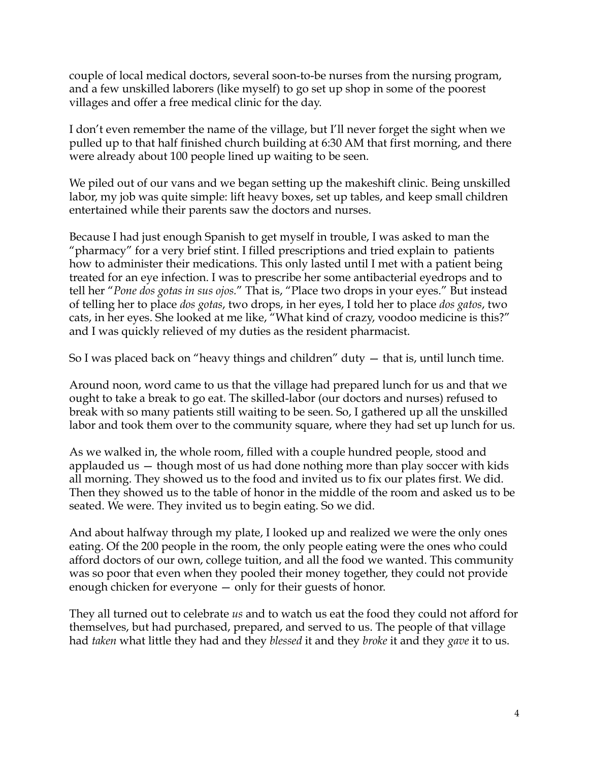couple of local medical doctors, several soon-to-be nurses from the nursing program, and a few unskilled laborers (like myself) to go set up shop in some of the poorest villages and offer a free medical clinic for the day.

I don't even remember the name of the village, but I'll never forget the sight when we pulled up to that half finished church building at 6:30 AM that first morning, and there were already about 100 people lined up waiting to be seen.

We piled out of our vans and we began setting up the makeshift clinic. Being unskilled labor, my job was quite simple: lift heavy boxes, set up tables, and keep small children entertained while their parents saw the doctors and nurses.

Because I had just enough Spanish to get myself in trouble, I was asked to man the "pharmacy" for a very brief stint. I filled prescriptions and tried explain to patients how to administer their medications. This only lasted until I met with a patient being treated for an eye infection. I was to prescribe her some antibacterial eyedrops and to tell her "*Pone dos gotas in sus ojos.*" That is, "Place two drops in your eyes." But instead of telling her to place *dos gotas*, two drops, in her eyes, I told her to place *dos gatos*, two cats, in her eyes. She looked at me like, "What kind of crazy, voodoo medicine is this?" and I was quickly relieved of my duties as the resident pharmacist.

So I was placed back on "heavy things and children" duty — that is, until lunch time.

Around noon, word came to us that the village had prepared lunch for us and that we ought to take a break to go eat. The skilled-labor (our doctors and nurses) refused to break with so many patients still waiting to be seen. So, I gathered up all the unskilled labor and took them over to the community square, where they had set up lunch for us.

As we walked in, the whole room, filled with a couple hundred people, stood and applauded us — though most of us had done nothing more than play soccer with kids all morning. They showed us to the food and invited us to fix our plates first. We did. Then they showed us to the table of honor in the middle of the room and asked us to be seated. We were. They invited us to begin eating. So we did.

And about halfway through my plate, I looked up and realized we were the only ones eating. Of the 200 people in the room, the only people eating were the ones who could afford doctors of our own, college tuition, and all the food we wanted. This community was so poor that even when they pooled their money together, they could not provide enough chicken for everyone — only for their guests of honor.

They all turned out to celebrate *us* and to watch us eat the food they could not afford for themselves, but had purchased, prepared, and served to us. The people of that village had *taken* what little they had and they *blessed* it and they *broke* it and they *gave* it to us.